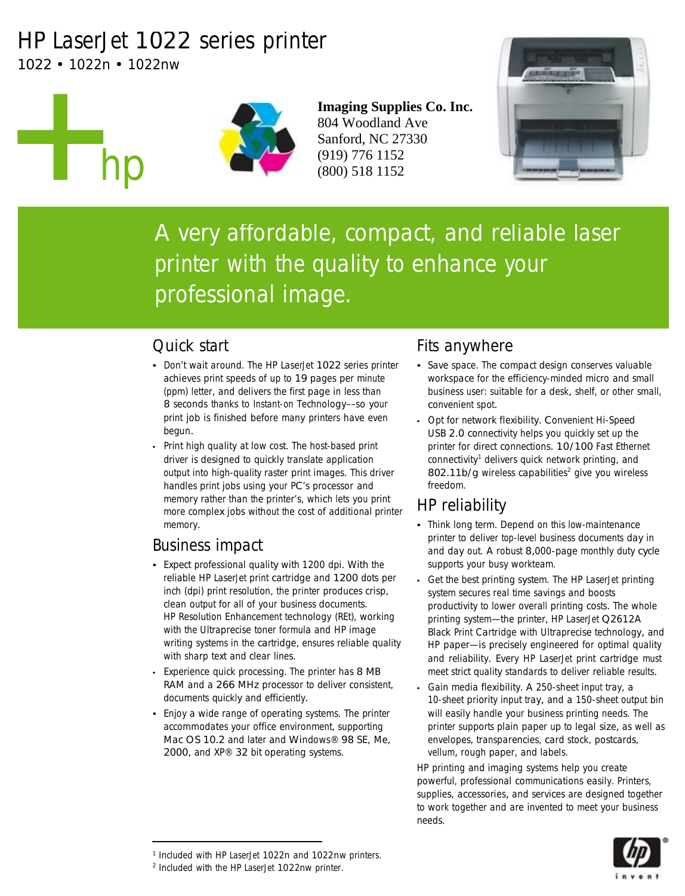# HP LaserJet 1022 series printer

1022 • 1022n • 1022nw

hp



**Imaging Supplies Co. Inc.** 804 Woodland Ave Sanford, NC 27330 (919) 776 1152 (800) 518 1152



A very affordable, compact, and reliable laser printer with the quality to enhance your professional image.

### Quick start

- Don't wait around. The HP LaserJet 1022 series printer achieves print speeds of up to 19 pages per minute (ppm) letter, and delivers the first page in less than 8 seconds thanks to Instant-on Technology––so your print job is finished before many printers have even begun.
- Print high quality at low cost. The host-based print driver is designed to quickly translate application output into high-quality raster print images. This driver handles print jobs using your PC's processor and memory rather than the printer's, which lets you print more complex jobs without the cost of additional printer memory.

### Business impact

- Expect professional quality with 1200 dpi. With the reliable HP LaserJet print cartridge and 1200 dots per inch (dpi) print resolution, the printer produces crisp, clean output for all of your business documents. HP Resolution Enhancement technology (REt), working with the Ultraprecise toner formula and HP image writing systems in the cartridge, ensures reliable quality with sharp text and clear lines.
- Experience quick processing. The printer has 8 MB RAM and a 266 MHz processor to deliver consistent, documents quickly and efficiently.
- Enjoy a wide range of operating systems. The printer accommodates your office environment, supporting Mac OS 10.2 and later and Windows® 98 SE, Me, 2000, and XP® 32 bit operating systems.

## Fits anywhere

- Save space. The compact design conserves valuable workspace for the efficiency-minded micro and small business user: suitable for a desk, shelf, or other small, convenient spot.
- Opt for network flexibility. Convenient Hi-Speed USB 2.0 connectivity helps you quickly set up the printer for direct connections. 10/100 Fast Ethernet connectivity<sup>1</sup> delivers quick network printing, and 802.11b/g wireless capabilities<sup>2</sup> give you wireless freedom.

# HP reliability

- Think long term. Depend on this low-maintenance printer to deliver top-level business documents day in and day out. A robust 8,000-page monthly duty cycle supports your busy workteam.
- Get the best printing system. The HP LaserJet printing system secures real time savings and boosts productivity to lower overall printing costs. The whole printing system—the printer, HP LaserJet Q2612A Black Print Cartridge with Ultraprecise technology, and HP paper—is precisely engineered for optimal quality and reliability. Every HP LaserJet print cartridge must meet strict quality standards to deliver reliable results.
- Gain media flexibility. A 250-sheet input tray, a 10-sheet priority input tray, and a 150-sheet output bin will easily handle your business printing needs. The printer supports plain paper up to legal size, as well as envelopes, transparencies, card stock, postcards, vellum, rough paper, and labels.

HP printing and imaging systems help you create powerful, professional communications easily. Printers, supplies, accessories, and services are designed together to work together and are invented to meet your business needs.



<sup>1</sup> Included with HP LaserJet 1022n and 1022nw printers.

<sup>2</sup> Included with the HP LaserJet 1022nw printer.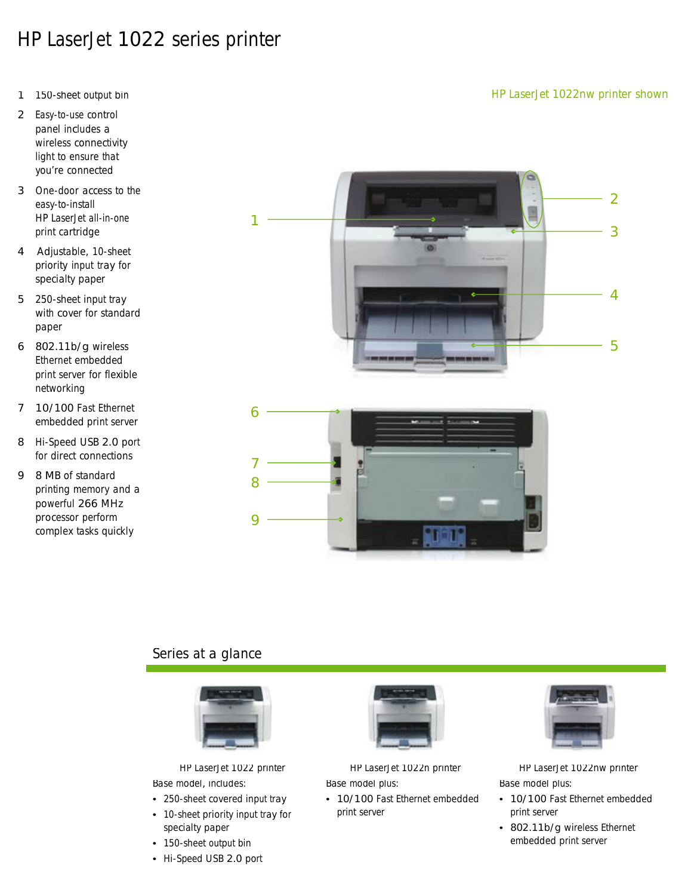# HP LaserJet 1022 series printer

- 1 150-sheet output bin
- 2 Easy-to-use control panel includes a wireless connectivity light to ensure that you're connected
- 3 One-door access to the easy-to-install HP LaserJet all-in-one print cartridge
- 4 Adjustable, 10-sheet priority input tray for specialty paper
- 5 250-sheet input tray with cover for standard paper
- 6 802.11b/g wireless Ethernet embedded print server for flexible networking
- 7 10/100 Fast Ethernet embedded print server
- 8 Hi-Speed USB 2.0 port for direct connections
- 9 8 MB of standard printing memory and a powerful 266 MHz processor perform complex tasks quickly





#### Series at a glance



1

Base model, includes:

- 250-sheet covered input tray • 10-sheet priority input tray for
- specialty paper
- 150-sheet output bin
- Hi-Speed USB 2.0 port



Base model plus:

• 10/100 Fast Ethernet embedded print server



HP LaserJet 1022 printer HP LaserJet 1022n printer HP LaserJet 1022nw printer Base model plus:

- 10/100 Fast Ethernet embedded print server
- 802.11b/g wireless Ethernet embedded print server

#### HP LaserJet 1022nw printer shown

2

3

4

5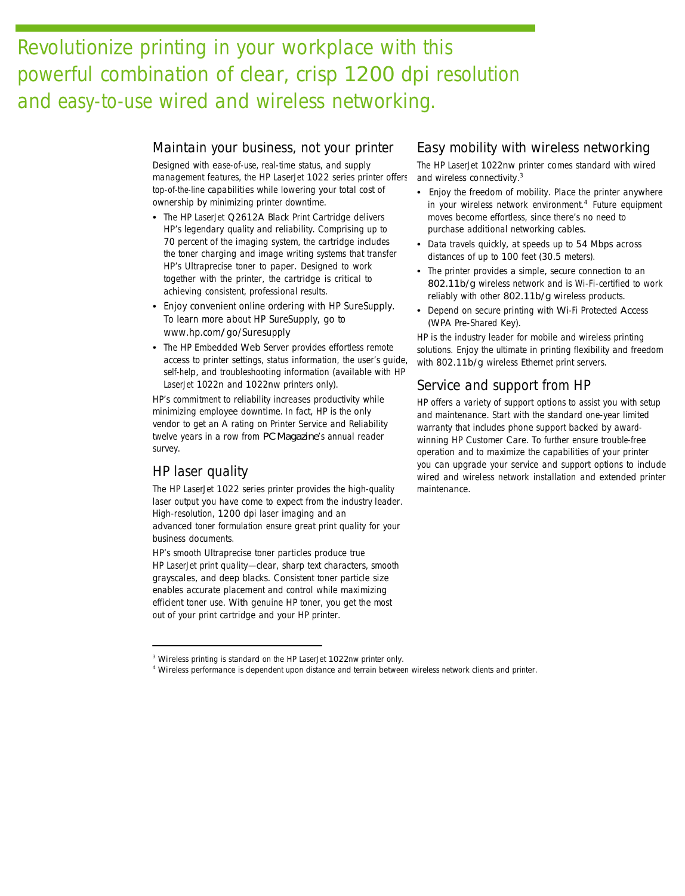# Revolutionize printing in your workplace with this powerful combination of clear, crisp 1200 dpi resolution and easy-to-use wired and wireless networking.

#### Maintain your business, not your printer

Designed with ease-of-use, real-time status, and supply management features, the HP LaserJet 1022 series printer offers top-of-the-line capabilities while lowering your total cost of ownership by minimizing printer downtime.

- The HP LaserJet Q2612A Black Print Cartridge delivers HP's legendary quality and reliability. Comprising up to 70 percent of the imaging system, the cartridge includes the toner charging and image writing systems that transfer HP's Ultraprecise toner to paper. Designed to work together with the printer, the cartridge is critical to achieving consistent, professional results.
- Enjoy convenient online ordering with HP SureSupply. To learn more about HP SureSupply, go to www.hp.com/go/Suresupply
- The HP Embedded Web Server provides effortless remote access to printer settings, status information, the user's guide, self-help, and troubleshooting information (available with HP LaserJet 1022n and 1022nw printers only).

HP's commitment to reliability increases productivity while minimizing employee downtime. In fact, HP is the only vendor to get an A rating on Printer Service and Reliability twelve years in a row from *PC Magazine*'s annual reader survey.

#### HP laser quality

The HP LaserJet 1022 series printer provides the high-quality laser output you have come to expect from the industry leader. High-resolution, 1200 dpi laser imaging and an advanced toner formulation ensure great print quality for your business documents.

HP's smooth Ultraprecise toner particles produce true HP LaserJet print quality—clear, sharp text characters, smooth grayscales, and deep blacks. Consistent toner particle size enables accurate placement and control while maximizing efficient toner use. With genuine HP toner, you get the most out of your print cartridge and your HP printer.

#### Easy mobility with wireless networking

The HP LaserJet 1022nw printer comes standard with wired and wireless connectivity. 3

- Enjoy the freedom of mobility. Place the printer anywhere in your wireless network environment. <sup>4</sup> Future equipment moves become effortless, since there's no need to purchase additional networking cables.
- Data travels quickly, at speeds up to 54 Mbps across distances of up to 100 feet (30.5 meters).
- The printer provides a simple, secure connection to an 802.11b/g wireless network and is Wi-Fi-certified to work reliably with other 802.11b/g wireless products.
- Depend on secure printing with Wi-Fi Protected Access (WPA Pre-Shared Key).

HP is the industry leader for mobile and wireless printing solutions. Enjoy the ultimate in printing flexibility and freedom with 802.11b/g wireless Ethernet print servers.

#### Service and support from HP

HP offers a variety of support options to assist you with setup and maintenance. Start with the standard one-year limited warranty that includes phone support backed by awardwinning HP Customer Care. To further ensure trouble-free operation and to maximize the capabilities of your printer you can upgrade your service and support options to include wired and wireless network installation and extended printer maintenance.

<sup>&</sup>lt;sup>3</sup> Wireless printing is standard on the HP LaserJet 1022nw printer only.

<sup>4</sup> Wireless performance is dependent upon distance and terrain between wireless network clients and printer.